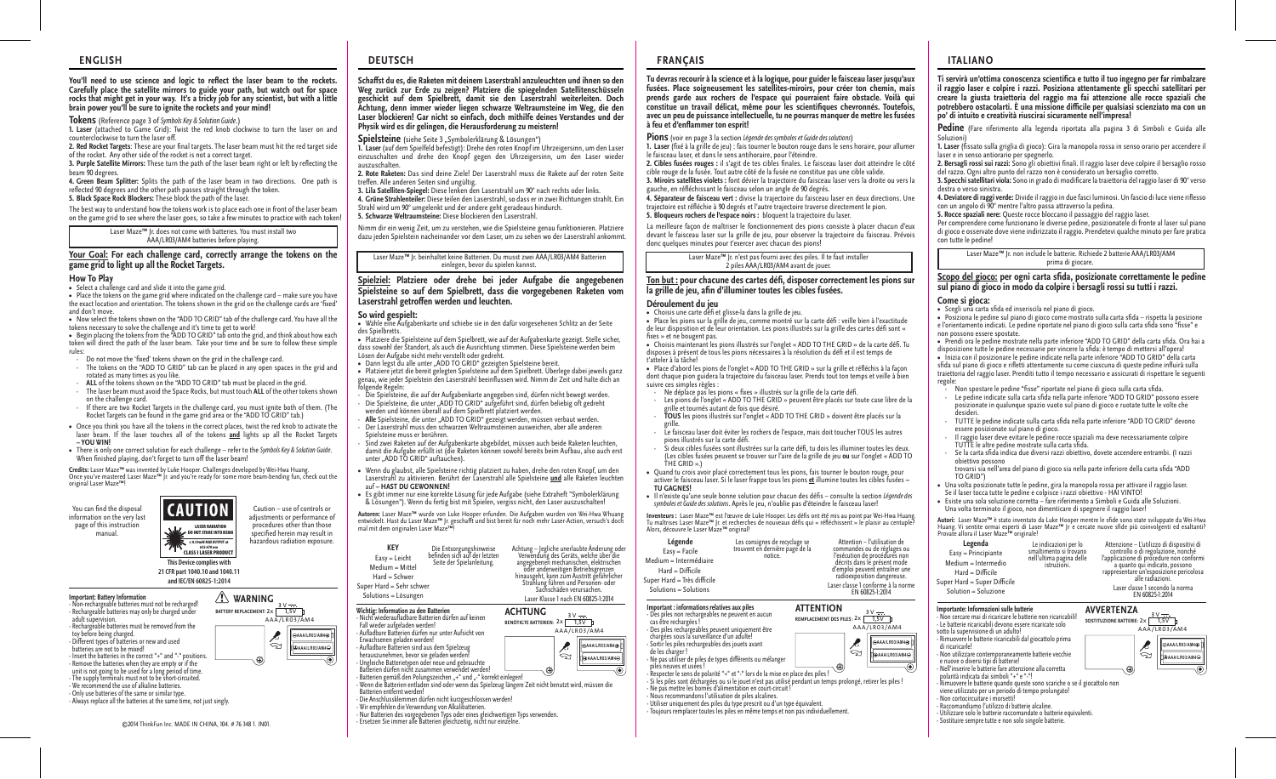### You'll need to use science and logic to reflect the laser beam to the rockets. **Carefully place the satellite mirrors to guide your path, but watch out for space rocks that might get in your way. It's a tricky job for any scientist, but with a little brain power you'll be sure to ignite the rockets and your mind!**

**Tokens** (Reference page 3 of *Symbols Key & Solution Guide*.)

**1. Laser** (attached to Game Grid): Twist the red knob clockwise to turn the laser on and counterclockwise to turn the laser off.

2. Red Rocket Targets: These are your final targets. The laser beam must hit the red target side of the rocket. Any other side of the rocket is not a correct target.

**3. Purple Satellite Mirrors:** These turn the path of the laser beam right or left by reflecting the beam 90 degrees.

**4. Green Beam Splitter:** Splits the path of the laser beam in two directions. One path is reflected 90 degrees and the other path passes straight through the token.

**5. Black Space Rock Blockers:** These block the path of the laser.

The best way to understand how the tokens work is to place each one in front of the laser beam on the game grid to see where the laser goes, so take a few minutes to practice with each token!

> Laser Maze™ Jr. does not come with batteries. You must install two AAA/LR03/AM4 batteries before playing.

## **Your Goal: For each challenge card, correctly arrange the tokens on the game grid to light up all the Rocket Targets.**

### **How To Play**

**•** Select a challenge card and slide it into the game grid.

• Place the tokens on the game grid where indicated on the challenge card – make sure you have the exact location and orientation. The tokens shown in the grid on the challenge cards are 'fixed' and don't move.

**•** Now select the tokens shown on the "ADD TO GRID" tab of the challenge card. You have all the tokens necessary to solve the challenge and it's time to get to work! **•** Begin placing the tokens from the "ADD TO GRID" tab onto the grid, and think about how each

token will direct the path of the laser beam. Take your time and be sure to follow these simple rules:

- Do not move the 'fixed' tokens shown on the grid in the challenge card.<br>- The tokens on the "ADD TO GRID" tab can be placed in any open spaces in the grid and
- rotated as many times as you like.
- ALL of the tokens shown on the "ADD TO GRID" tab must be placed in the grid. The laser beam must avoid the Space Rocks, but must touch ALL of the other tokens shown on the challenge card.
- If there are two Rocket Targets in the challenge card, you must ignite both of them. (The Rocket Targets can be found in the game grid area or the "ADD TO GRID" tab.)
- **•** Once you think you have all the tokens in the correct places, twist the red knob to activate the laser beam. If the laser touches all of the tokens **and** lights up all the Rocket Targets  **– YOU WIN!**
- **•** There is only one correct solution for each challenge refer to the *Symbols Key & Solution Guide*. When finished playing, don't forget to turn off the laser beam!

**Credits:** Laser Maze™ was invented by Luke Hooper. Challenges developed by Wei-Hwa Huang.<br>Once you've mastered Laser Maze™ Jr. and you're ready for some more beam-bending fun, check out the<br>original Laser Maze™!

You can find the disposal information on the very last page of this instruction manual.

### Caution – use of controls or adjustments or performance of procedures other than those specified herein may result in **CAUTION** LASER RADIA DO NOT STARE INTO BE

CLASS I LASER PRODUCT 635-670 nm ≤ 0.39mW MAX OUTPUT at **This Device complies with 21 CFR part 1040.10 and 1040.11 and IEC/EN 60825-1:2014**

**Important: Battery Information** - Non-rechargeable batteries must not be recharged! - Rechargeable batteries may only be charged under adult supervision. - Rechargeable batteries must be removed from the toy before being charged.<br>- Different types of batteries or new and used batteries are not to be mixed! - Insert the batteries in the correct "+" and "-" positions. - Remove the batteries when they are empty or if the unit is not going to be used for a long period of time. - The supply terminals must not to be short-circuited. - The supply terminals must not to be short on<br>- We recommend the use of alkaline batteries. - Only use batteries of the same or similar type.

## **WARNING BATTERY REPLACEMENT: 3** V **2**x **1,5**V

- Always replace all the batteries at the same time, not just singly.

.<br>ත

©2014 ThinkFun Inc. MADE IN CHINA, 104. # 76 348 1. IN01.





Easy = Leicht Medium = Mittel Hard = Schwer Super Hard = Sehr schwer Solutions = Lösungen

hazardous radiation exposure.

**Wichtig: Information zu den Batterien** AAA/LR03/AM4 **AAA/LR03/AM4<sup>+</sup>** 

 Erwachsenen geladen werden! - Aufladbare Batterien sind aus dem Spielzeug herauszunehmen, bevor sie geladen werden! - Ungleiche Batterietypen oder neue und gebrauchte Batterien dürfen nicht zusammen verwendet werden! Batterien gemäß den Polungszeichen "+" und "-" korrekt einlegen! **AAA/LR03/AM4**

- Wenn die Batterien entladen sind oder wenn das Spielzeug längere Zeit nicht benutzt wird, müssen die Batterien entfernt werden!

**Schast du es, die Raketen mit deinem Laserstrahl anzuleuchten und ihnen so den Weg zurück zur Erde zu zeigen? Platziere die spiegelnden Satellitenschüsseln geschickt auf dem Spielbrett, damit sie den Laserstrahl weiterleiten. Doch Achtung, denn immer wieder liegen schwarze Weltraumsteine im Weg, die den Laser blockieren! Gar nicht so einfach, doch mithilfe deines Verstandes und der** 

**1. Laser** (auf dem Spielfeld befestigt): Drehe den roten Knopf im Uhrzeigersinn, um den Laser einzuschalten und drehe den Knopf gegen den Uhrzeigersinn, um den Laser wieder

**2. Rote Raketen:** Das sind deine Ziele! Der Laserstrahl muss die Rakete auf der roten Seite

Nimm dir ein wenig Zeit, um zu verstehen, wie die Spielsteine genau funktionieren. Platziere dazu jeden Spielstein nacheinander vor dem Laser, um zu sehen wo der Laserstrahl ankommt.

**Spielziel: Platziere oder drehe bei jeder Aufgabe die angegebenen Spielsteine so auf dem Spielbrett, dass die vorgegebenen Raketen vom** 

Laser Maze™ Jr. beinhaltet keine Batterien. Du musst zwei AAA/LR03/AM4 Batterien einlegen, bevor du spielen kannst.

**•** Wähle eine Aufgabenkarte und schiebe sie in den dafür vorgesehenen Schlitz an der Seite

**•** Platziere die Spielsteine auf dem Spielbrett, wie auf der Aufgabenkarte gezeigt. Stelle sicher, dass sowohl der Standort, als auch die Ausrichtung stimmen. Diese Spielsteine werden beim

• Dann legst du alle unter "ADD TO GRID" gezeigten Spielsteine bereit.<br>• Platziere ietzt die bereit gelegten Spielsteine auf dem Spielbrett. Überlege dabei ieweils ganz • Platziere jetzt die bereit gelegten Spielsteine auf dem Spielbrett. Überlege dabei jeweils ganz<br>genau, wie jeder Spielstein den Laserstrahl beeinflussen wird. Nimm dir Zeit und halte dich an<br>folgende Regeln: - Die Spielsteine, die auf der Aufgabenkarte angegeben sind, dürfen nicht bewegt werden.<br>- Die Spielsteine, die unter "ADD TO GRID" aufgeführt sind, dürfen beliebig oft gedreht

- **Alle** Spielsteine, die unter "ADD TO GRID" gezeigt werden, müssen verbaut werden. Der Laserstrahl muss den schwarzen Weltraumsteinen ausweichen, aber alle anderen

- Sind zwei Raketen auf der Aufgabenkarte abgebildet, müssen auch beide Raketen leuchten, damit die Aufgabe erfüllt ist (die Raketen können sowohl bereits beim Aufbau, also auch erst

**•** Wenn du glaubst, alle Spielsteine richtig platziert zu haben, drehe den roten Knopf, um den Laserstrahl zu aktivieren. Berührt der Laserstrahl alle Spielsteine **und** alle Raketen leuchten

**•** Es gibt immer nur eine korrekte Lösung für jede Aufgabe (siehe Extraheft "Symbolerklärung & Lösungen"). Wenn du fertig bist mit Spielen, vergiss nicht, den Laser auszuschalten! Aut**oren:** Laser Maze™ wurde von Luke Hooper erfunden. Die Aufgaben wurden von Wei-Hwa Whuang<br>entwickelt. Hast du Laser Maze™ Jr. geschafft und bist bereit für noch mehr Laser-Action, versuch's doch

> Die Entsorgungshinweise<br>befinden sich auf der letzten Seite der Spielanleitung.

**3. Lila Satelliten-Spiegel:** Diese lenken den Laserstrahl um 90° nach rechts oder links. **4. Grüne Strahlenteiler:** Diese teilen den Laserstrahl, so dass er in zwei Richtungen strahlt. Ein

**Physik wird es dir gelingen, die Herausforderung zu meistern!** Spielsteine (siehe Seite 3 "Symbolerklärung & Lösungen")

Strahl wird um 90° umgelenkt und der andere geht geradeaus hindurch. **5. Schwarze Weltraumsteine:** Diese blockieren den Laserstrahl.

auszuschalten.

**So wird gespielt:** 

des Spielbretts.

treffen. Alle anderen Seiten sind ungültig.

**Laserstrahl getroffen werden und leuchten.** 

Lösen der Aufgabe nicht mehr verstellt oder gedreht.

Spielsteine muss er berühren.

auf **– HAST DU GEWONNEN!**

mal mit dem originalen Laser Maze™!

**KEY**

unter "ADD TO GRID" auftauchen).

werden und können überall auf dem Spielbrett platziert werden.

**ACHTUNG BENÖTIGTE BATTERIEN: 3** V **2**x **1,5**V

AAA/LR03/AM4

Achtung – Jegliche unerlaubte Änderung oder Verwendung des Geräts, welche über die

Fangegebenen mechanischen, elektrischen Betriebsgrenzen<br>hinausgeht, kann zum Austritt gefährlicher<br>Strahlung führen und Personen- oder<br>Sachschäden verursachen. Laser Klasse 1 nach EN 60825-1:2014

′ବ

**A**AAA/LR03/AM4A **AAA/LR03/AM4**

- Die Anschlussklemmen dürfen nicht kurzgeschlossen werden!

- Nicht wiederaufladbare Batterien dürfen auf keinen

- Auadbare Batterien dürfen nur unter Aufsicht von

Fall wieder aufgeladen werden!

- Wir empfehlen die Verwendung von Alkalibatterien.<br>- Nur Batterien des vorgegebenen Typs oder eines gleichwertigen Typs verwenden.<br>- Ersetzen Sie immer alle Batterien gleichzeitig, nicht nur einzelne.
- 

## **ENGLISH DEUTSCH FRANÇAIS ITALIANO**

**Tu devras recourir à la science et à la logique, pour guider le faisceau laser jusqu'aux fusées. Place soigneusement les satellites-miroirs, pour créer ton chemin, mais prends garde aux rochers de l'espace qui pourraient faire obstacle. Voilà qui constitue un travail délicat, même pour les scientiques chevronnés. Toutefois, avec un peu de puissance intellectuelle, tu ne pourras manquer de mettre les fusées**   $\lambda$  feu et d'enflammer ton esprit!

**Pions** (voir en page 3 la section *Légende des symboles et Guide des solutions*)

**1.** Laser (fixé à la grille de jeu) : fais tourner le bouton rouge dans le sens horaire, pour allumer le faisceau laser, et dans le sens antihoraire, pour l'éteindre.

2. Cibles fusées rouges : il s'agit de tes cibles finales. Le faisceau laser doit atteindre le côté cible rouge de la fusée. Tout autre côté de la fusée ne constitue pas une cible valide. **3. Miroirs satellites violets :** font dévier la trajectoire du faisceau laser vers la droite ou vers la

gauche, en réfléchissant le faisceau selon un angle de 90 degrés.

**4. Séparateur de faisceau vert :** divise la trajectoire du faisceau laser en deux directions. Une trajectoire est rééchie à 90 degrés et l'autre trajectoire traverse directement le pion. **5. Bloqueurs rochers de l'espace noirs :** bloquent la trajectoire du laser.

La meilleure façon de maîtriser le fonctionnement des pions consiste à placer chacun d'eux devant le faisceau laser sur la grille de jeu, pour observer la trajectoire du faisceau. Prévois donc quelques minutes pour t'exercer avec chacun des pions!

Laser Maze™ Jr. n'est pas fourni avec des piles. Il te faut installer 2 piles AAA/LR03/AM4 avant de jouer.

### Ton but : pour chacune des cartes défi, disposer correctement les pions sur la grille de jeu, afin d'illuminer toutes les cibles fusées.

### **Déroulement du jeu**

• Choisis une carte défi et glisse-la dans la grille de jeu.

• Place les pions sur la grille de jeu, comme montré sur la carte défi : veille bien à l'exactitude de leur disposition et de leur orientation. Les pions illustrés sur la grille des cartes défi sont « fixes » et ne bougent pas.

• Choisis maintenant les pions illustrés sur l'onglet « ADD TO THE GRID » de la carte défi. Tu disposes à présent de tous les pions nécessaires à la résolution du défi et il est temps de t'atteler à la tâche!

**•** Place d'abord les pions de l'onglet « ADD TO THE GRID » sur la grille et rééchis à la façon dont chaque pion guidera la trajectoire du faisceau laser. Prends tout ton temps et veille à bien suivre ces simples règles :

- Ne déplace pas les pions « xes » illustrés sur la grille de la carte dé.
- Les pions de l'onglet « ADD TO THE GRID » peuvent être placés sur toute case libre de la grille et tournés autant de fois que désiré. - **TOUS** les pions illustrés sur l'onglet « ADD TO THE GRID » doivent être placés sur la
- grille. Le faisceau laser doit éviter les rochers de l'espace, mais doit toucher TOUS les autres
- pions illustrés sur la carte défi-
- Si deux cibles fusées sont illustrées sur la carte défi, tu dois les illuminer toutes les deux. (Les cibles fusées peuvent se trouver sur l'aire de la grille de jeu **ou** sur l'onglet « ADD TO THE GRID ».)
- Quand tu crois avoir placé correctement tous les pions, fais tourner le bouton rouge, pour<br>activer le faisceau laser. Si le laser frappe tous les pions <u>et</u> illumine toutes les cibles fusées –<br>TU GAGNES!
- Il n'existe qu'une seule bonne solution pour chacun des défis consulte la section *Légende des symboles et Guide des solutions*. Après le jeu, n'oublie pas d'éteindre le faisceau laser!

**Inventeurs :** Laser Maze™ est l'œuvre de Luke Hooper. Les délis ont été mis au point par Wei-Hwa Huang.<br>Tu maîtrises Laser Maze™ Ir. et recherches de nouveaux défis qui « réfléchissent » le plaisir au centuple Alors, découvre le Laser Maze™ original!

| Légende<br>$Easy = Facile$<br>Medium = Intermédiaire<br>$Hard = Difficile$<br>Super Hard = Très difficile<br>Solutions = Solutions | Les consignes de recyclage se<br>trouvent en dernière page de la<br>notice. |                  | Attention - l'utilisation de<br>commandes ou de réglages ou<br>l'exécution de procédures non<br>décrits dans le présent mode<br>d'emploi peuvent entraîner une<br>radioexposition dangereuse.<br>Laser classe 1 conforme à la norme<br>EN 60825-1:2014 |
|------------------------------------------------------------------------------------------------------------------------------------|-----------------------------------------------------------------------------|------------------|--------------------------------------------------------------------------------------------------------------------------------------------------------------------------------------------------------------------------------------------------------|
| Important : informations relatives aux piles                                                                                       |                                                                             | <b>ATTFNTION</b> |                                                                                                                                                                                                                                                        |

AAA/LR03/AM4

**AAA/LR03/AM4**  $\ominus$ AAA/LR03/AM4 $\oplus$ 

| Important : informations relatives aux piles<br>- Des piles non rechargeables ne peuvent en aucun | <b>ATTENTION</b>            | $3V -$       |
|---------------------------------------------------------------------------------------------------|-----------------------------|--------------|
| cas être rechargées !                                                                             | REMPLACEMENT DES PILES : 2x | 1.5V         |
| - Des piles rechargeables peuvent uniquement être                                                 |                             | AAA/LRO3     |
| chargées sous la surveillance d'un adulte!                                                        |                             | <b>OAA</b>   |
| - Sortir les piles rechargeables des jouets avant                                                 | $\lessapprox$               |              |
| de les charger!<br>No necutilizar de pilos de tupos différents ou mélanger                        |                             | <b>D</b> ⊕AA |



- Si les piles sont déchargées ou si le jouet n'est pas utilisé pendant un temps prolongé, retirer les piles ! - Ne pas mettre les bornes d'alimentation en court-circuit !

- Nous recommandons l'utilisation de piles alcalines.

- Utiliser uniquement des piles du type prescrit ou d'un type équivalent.

- Toujours remplacer toutes les piles en même temps et non pas individuellement.

Ti servirà un'ottima conoscenza scientifica e tutto il tuo ingegno per far rimbalzare **il raggio laser e colpire i razzi. Posiziona attentamente gli specchi satellitari per creare la giusta traiettoria del raggio ma fai attenzione alle rocce spaziali che potrebbero ostacolarti. È una missione dicile per qualsiasi scienziato ma con un po' di intuito e creatività riuscirai sicuramente nell'impresa!**

**Pedine** (Fare riferimento alla legenda riportata alla pagina 3 di Simboli e Guida alle Soluzioni)

1. Laser (fissato sulla griglia di gioco): Gira la manopola rossa in senso orario per accendere il laser e in senso antiorario per spegnerlo.

**2. Bersagli rossi sui razzi:** Sono gli obiettivi nali. Il raggio laser deve colpire il bersaglio rosso del razzo. Ogni altro punto del razzo non è considerato un bersaglio corretto.

**3. Specchi satellitari viola:** Sono in grado di modicare la traiettoria del raggio laser di 90° verso destra o verso sinistra.

**4. Deviatore di raggi verde:** Divide il raggio in due fasci luminosi. Un fascio di luce viene riesso con un angolo di 90° mentre l'altro passa attraverso la pedina.

**5. Rocce spaziali nere:** Queste rocce bloccano il passaggio del raggio laser.

Per comprendere come funzionano le diverse pedine, posizionatele di fronte al laser sul piano di gioco e osservate dove viene indirizzato il raggio. Prendetevi qualche minuto per fare pratica con tutte le pedine!

Laser Maze™ Jr. non include le batterie. Richiede 2 batterie AAA/LR03/AM4 prima di giocare.

## Scopo del gioco: per ogni carta sfida, posizionate correttamente le pedine **sul piano di gioco in modo da colpire i bersagli rossi su tutti i razzi.**

### **Come si gioca:**

**•** Scegli una carta sda ed inseriscila nel piano di gioco.

**Importante: Informazioni sulle batterie**

sotto la supervisione di un adulto

**Legenda** Easy = Principiante Medium = Intermedio  $Hard = Difficile$ Super Hard  $=$  Super Difficile Solution = Soluzione

e nuove o diversi tipi di batterie!

- Non cortocircuitare i morsetti! - Raccomandiamo l'utilizzo di batterie alcaline. - Utilizzare solo le batterie raccomandate o batterie equivalenti. - Sostituire sempre tutte e non solo singole batterie.

di ricaricarle!

- Non cercare mai di ricaricare le batterie non ricaricabili! - Le batterie ricaricabili devono essere ricaricate solo

- Rimuovere le batterie ricaricabili dal giocattolo prima

- Non utilizzare contemporaneamente batterie vecchie

Nell'inserire le batterie fare attenzione alla corretta polarità indicata dai simboli "+" e "-"!

viene utilizzato per un periodo di tempo prolungato!

- Rimuovere le batterie quando queste sono scariche o se il giocattolo non

• Posiziona le pedine sul piano di gioco come mostrato sulla carta sfida – rispetta la posizione e l'orientamento indicati. Le pedine riportate nel piano di gioco sulla carta sfida sono "fisse" e non possono essere spostate.

• Prendi ora le pedine mostrate nella parte inferiore "ADD TO GRID" della carta sfida. Ora hai a

disposizione tutte le pedine necessarie per vincere la sfida: è tempo di mettersi all'opera!<br>• Inizia con il posizionare le pedine indicate nella parte inferiore "ADD TO GRID" della carta

sfida sul piano di gioco e rifletti attentamente su come ciascuna di queste pedine influirà sulla traiettoria del raggio laser. Prenditi tutto il tempo necessario e assicurati di rispettare le seguenti regole:

- Non spostare le pedine "fisse" riportate nel piano di gioco sulla carta sfida.
- Le pedine indicate sulla carta sfida nella parte inferiore "ADD TO GRID" possono essere posizionate in qualunque spazio vuoto sul piano di gioco e ruotate tutte le volte che desideri.
- TUTTE le pedine indicate sulla carta sda nella parte inferiore "ADD TO GRID" devono essere posizionate sul piano di gioco.
- Il raggio laser deve evitare le pedine rocce spaziali ma deve necessariamente colpire TUTTE le altre pedine mostrate sulla carta sda.
	- Se la carta sda indica due diversi razzi obiettivo, dovete accendere entrambi. (I razzi obiettivo possono
- trovarsi sia nell'area del piano di gioco sia nella parte inferiore della carta sfida "ADD TO GRID")
- Una volta posizionate tutte le pedine, gira la manopola rossa per attivare il raggio laser.

Le indicazioni per lo smaltimento si trovano nell'ultima pagina delle istruzioni.

- Se il laser tocca tutte le pedine e colpisce i razzi obiettivo HAI VINTO! Esiste una sola soluzione corretta fare riferimento a Simboli e Guida alle Soluzioni.
- Una volta terminato il gioco, non dimenticare di spegnere il raggio laser!

**Autori:** Laser Maze™ è stato inventato da Luke Hooper mentre le sfide sono state sviluppate da Wei-Hwa<br>Huang. Vi sentite ormai esperti di Laser Maze™ Jr e cercate nuove sfide più coinvolgenti ed esaltanti?<br>Provate allora

**AVVERTENZA SOSTITUZIONE BATTERIE:**  $2x \begin{bmatrix} 3 & \overline{0} & \overline{0} \\ \overline{0} & 1,5 & 0 \\ 1,5 & 0 & 0 \\ 0 & 0 & 0 & 0 \\ 0 & 0 & 0 & 0 \\ 0 & 0 & 0 & 0 \\ 0 & 0 & 0 & 0 \\ 0 & 0 & 0 & 0 \\ 0 & 0 & 0 & 0 \\ 0 & 0 & 0 & 0 \\ 0 & 0 & 0 & 0 \\ 0 & 0 & 0 & 0 \\ 0 & 0 & 0 & 0 \\ 0 & 0 & 0 & 0 & 0 \\ 0 & 0 & 0 &$ 

AAA/LR03/AM4

Attenzione – L'utilizzo di dispositivi di l'applicazione di procedure non conformi a quanto qui indicato, possono rappresentare un'esposizione pericolosa alle radiazioni.

Laser classe 1 secondo la norma EN 60825-1:2014

 $\lesssim$ 

**⊕AAA/LR03/AM4**⊖ **AAA/LR03/AM4**